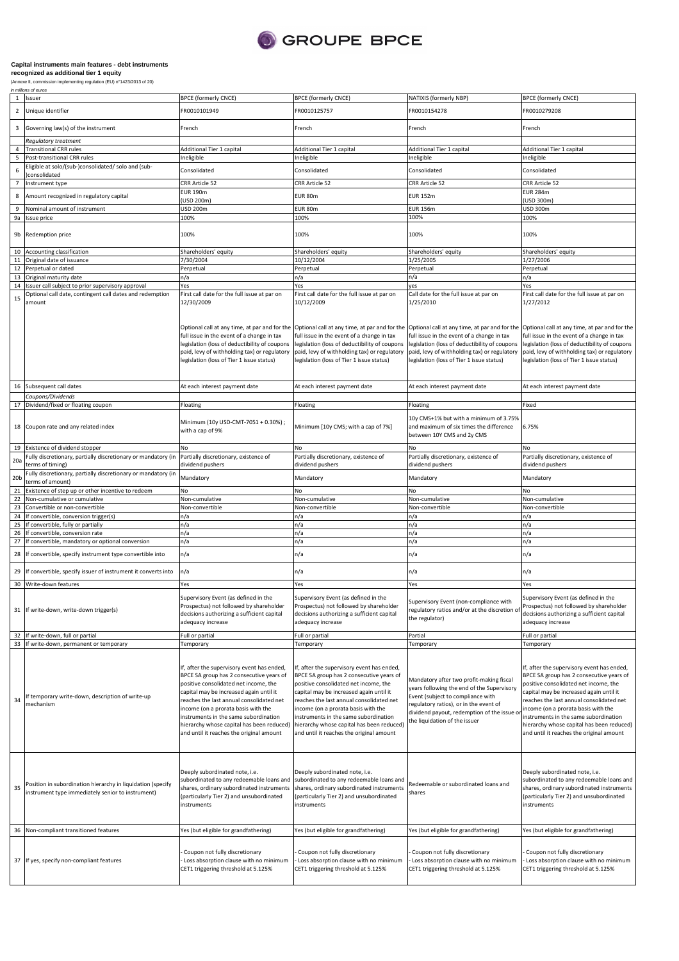

## **Capital instruments main features - debt instruments**

35

Position in subordination hierarchy in liquidation (specify instrument type immediately senior to instrument)

37 If yes, specify non-compliant features

Deeply subordinated note, i.e. subordinated to any redeemable loans and shares, ordinary subordinated instruments (particularly Tier 2) and unsubordinated

- Coupon not fully discretionary - Loss absorption clause with no minimum CET1 triggering threshold at 5.125%

instruments

| <sup>1</sup><br>$\overline{2}$ | (Annexe II, commission implementing regulation (EU) n°1423/2013 of 20)<br>in millions of euros<br>Issuer               |                                                                                                                                                                                                                                                                                                                                                                                                |                                                                                                                                                                                                                                                                                                                                                                                                 |                                                                                                                                                                                                                                                      |                                                                                                                                                                                                                                                                                                                                                                                                 |
|--------------------------------|------------------------------------------------------------------------------------------------------------------------|------------------------------------------------------------------------------------------------------------------------------------------------------------------------------------------------------------------------------------------------------------------------------------------------------------------------------------------------------------------------------------------------|-------------------------------------------------------------------------------------------------------------------------------------------------------------------------------------------------------------------------------------------------------------------------------------------------------------------------------------------------------------------------------------------------|------------------------------------------------------------------------------------------------------------------------------------------------------------------------------------------------------------------------------------------------------|-------------------------------------------------------------------------------------------------------------------------------------------------------------------------------------------------------------------------------------------------------------------------------------------------------------------------------------------------------------------------------------------------|
|                                |                                                                                                                        |                                                                                                                                                                                                                                                                                                                                                                                                |                                                                                                                                                                                                                                                                                                                                                                                                 |                                                                                                                                                                                                                                                      |                                                                                                                                                                                                                                                                                                                                                                                                 |
|                                |                                                                                                                        | <b>BPCE (formerly CNCE)</b>                                                                                                                                                                                                                                                                                                                                                                    | <b>BPCE (formerly CNCE)</b>                                                                                                                                                                                                                                                                                                                                                                     | NATIXIS (formerly NBP)                                                                                                                                                                                                                               | <b>BPCE</b> (formerly CNCE)                                                                                                                                                                                                                                                                                                                                                                     |
|                                | Unique identifier                                                                                                      | FR0010101949                                                                                                                                                                                                                                                                                                                                                                                   | FR0010125757                                                                                                                                                                                                                                                                                                                                                                                    | FR0010154278                                                                                                                                                                                                                                         | FR0010279208                                                                                                                                                                                                                                                                                                                                                                                    |
| 3                              | Governing law(s) of the instrument                                                                                     | French                                                                                                                                                                                                                                                                                                                                                                                         | French                                                                                                                                                                                                                                                                                                                                                                                          | French                                                                                                                                                                                                                                               | French                                                                                                                                                                                                                                                                                                                                                                                          |
|                                | <b>Regulatory treatment</b>                                                                                            |                                                                                                                                                                                                                                                                                                                                                                                                |                                                                                                                                                                                                                                                                                                                                                                                                 |                                                                                                                                                                                                                                                      |                                                                                                                                                                                                                                                                                                                                                                                                 |
| $\overline{4}$                 | <b>Transitional CRR rules</b>                                                                                          | Additional Tier 1 capital                                                                                                                                                                                                                                                                                                                                                                      | Additional Tier 1 capital                                                                                                                                                                                                                                                                                                                                                                       | Additional Tier 1 capital                                                                                                                                                                                                                            | Additional Tier 1 capital                                                                                                                                                                                                                                                                                                                                                                       |
| 5                              | Post-transitional CRR rules                                                                                            | neligible                                                                                                                                                                                                                                                                                                                                                                                      | Ineligible                                                                                                                                                                                                                                                                                                                                                                                      | Ineligible                                                                                                                                                                                                                                           | Ineligible                                                                                                                                                                                                                                                                                                                                                                                      |
| $\,6\,$                        | Eligible at solo/(sub-)consolidated/ solo and (sub-<br>consolidated                                                    | Consolidated                                                                                                                                                                                                                                                                                                                                                                                   | Consolidated                                                                                                                                                                                                                                                                                                                                                                                    | Consolidated                                                                                                                                                                                                                                         | Consolidated                                                                                                                                                                                                                                                                                                                                                                                    |
| $\overline{7}$                 | Instrument type                                                                                                        | CRR Article 52<br><b>EUR 190m</b>                                                                                                                                                                                                                                                                                                                                                              | CRR Article 52                                                                                                                                                                                                                                                                                                                                                                                  | CRR Article 52                                                                                                                                                                                                                                       | CRR Article 52<br>EUR 284m                                                                                                                                                                                                                                                                                                                                                                      |
| 8                              | Amount recognized in regulatory capital                                                                                | USD 200m)                                                                                                                                                                                                                                                                                                                                                                                      | EUR 80m                                                                                                                                                                                                                                                                                                                                                                                         | <b>EUR 152m</b>                                                                                                                                                                                                                                      | (USD 300m)                                                                                                                                                                                                                                                                                                                                                                                      |
| 9                              | Nominal amount of instrument                                                                                           | <b>USD 200m</b><br>100%                                                                                                                                                                                                                                                                                                                                                                        | EUR 80m<br>100%                                                                                                                                                                                                                                                                                                                                                                                 | <b>EUR 156m</b><br>100%                                                                                                                                                                                                                              | USD 300m                                                                                                                                                                                                                                                                                                                                                                                        |
| 9a<br>9b                       | Issue price<br>Redemption price                                                                                        | 100%                                                                                                                                                                                                                                                                                                                                                                                           | 100%                                                                                                                                                                                                                                                                                                                                                                                            | 100%                                                                                                                                                                                                                                                 | 100%<br>100%                                                                                                                                                                                                                                                                                                                                                                                    |
|                                | 10 Accounting classification                                                                                           | Shareholders' equity                                                                                                                                                                                                                                                                                                                                                                           | Shareholders' equity                                                                                                                                                                                                                                                                                                                                                                            | Shareholders' equity                                                                                                                                                                                                                                 | Shareholders' equity                                                                                                                                                                                                                                                                                                                                                                            |
|                                | 11 Original date of issuance                                                                                           | 7/30/2004                                                                                                                                                                                                                                                                                                                                                                                      | 10/12/2004                                                                                                                                                                                                                                                                                                                                                                                      | 1/25/2005                                                                                                                                                                                                                                            | 1/27/2006                                                                                                                                                                                                                                                                                                                                                                                       |
| 12                             | Perpetual or dated                                                                                                     | Perpetual                                                                                                                                                                                                                                                                                                                                                                                      | Perpetual                                                                                                                                                                                                                                                                                                                                                                                       | Perpetual                                                                                                                                                                                                                                            | Perpetual                                                                                                                                                                                                                                                                                                                                                                                       |
|                                | 13 Original maturity date                                                                                              | ٦/a                                                                                                                                                                                                                                                                                                                                                                                            | n/a                                                                                                                                                                                                                                                                                                                                                                                             | n/a                                                                                                                                                                                                                                                  | n/a                                                                                                                                                                                                                                                                                                                                                                                             |
| 14<br>15                       | ssuer call subject to prior supervisory approval<br>Optional call date, contingent call dates and redemption<br>amount | Yes<br>First call date for the full issue at par on<br>12/30/2009                                                                                                                                                                                                                                                                                                                              | Yes<br>First call date for the full issue at par on<br>10/12/2009                                                                                                                                                                                                                                                                                                                               | ves<br>Call date for the full issue at par on<br>1/25/2010                                                                                                                                                                                           | Yes<br>First call date for the full issue at par on<br>1/27/2012                                                                                                                                                                                                                                                                                                                                |
|                                |                                                                                                                        | ull issue in the event of a change in tax<br>egislation (loss of deductibility of coupons<br>paid, levy of withholding tax) or regulatory<br>legislation (loss of Tier 1 issue status)                                                                                                                                                                                                         | Optional call at any time, at par and for the  Optional call at any time, at par and for the  Optional call at any time, at par and for the  Optional call at any time, at par and for the<br>full issue in the event of a change in tax<br>legislation (loss of deductibility of coupons<br>paid, levy of withholding tax) or regulatory<br>legislation (loss of Tier 1 issue status)          | full issue in the event of a change in tax<br>legislation (loss of deductibility of coupons<br>paid, levy of withholding tax) or regulatory<br>legislation (loss of Tier 1 issue status)                                                             | full issue in the event of a change in tax<br>legislation (loss of deductibility of coupons<br>paid, levy of withholding tax) or regulatory<br>legislation (loss of Tier 1 issue status)                                                                                                                                                                                                        |
| 16                             | Subsequent call dates                                                                                                  | At each interest payment date                                                                                                                                                                                                                                                                                                                                                                  | At each interest payment date                                                                                                                                                                                                                                                                                                                                                                   | At each interest payment date                                                                                                                                                                                                                        | At each interest payment date                                                                                                                                                                                                                                                                                                                                                                   |
|                                | Coupons/Dividends                                                                                                      |                                                                                                                                                                                                                                                                                                                                                                                                |                                                                                                                                                                                                                                                                                                                                                                                                 |                                                                                                                                                                                                                                                      |                                                                                                                                                                                                                                                                                                                                                                                                 |
| 17                             | Dividend/fixed or floating coupon                                                                                      | Floating                                                                                                                                                                                                                                                                                                                                                                                       | Floating                                                                                                                                                                                                                                                                                                                                                                                        | Floating                                                                                                                                                                                                                                             | Fixed                                                                                                                                                                                                                                                                                                                                                                                           |
| 18                             | Coupon rate and any related index                                                                                      | Minimum (10y USD-CMT-7051 + 0.30%);<br>with a cap of 9%                                                                                                                                                                                                                                                                                                                                        | Minimum [10y CMS; with a cap of 7%]                                                                                                                                                                                                                                                                                                                                                             | 10y CMS+1% but with a minimum of 3.75%<br>and maximum of six times the difference<br>between 10Y CMS and 2y CMS                                                                                                                                      | 6.75%                                                                                                                                                                                                                                                                                                                                                                                           |
| 19                             | Existence of dividend stopper                                                                                          | No                                                                                                                                                                                                                                                                                                                                                                                             | No                                                                                                                                                                                                                                                                                                                                                                                              |                                                                                                                                                                                                                                                      | No                                                                                                                                                                                                                                                                                                                                                                                              |
| 20a                            | Fully discretionary, partially discretionary or mandatory (in<br>terms of timing)                                      | Partially discretionary, existence of<br>dividend pushers                                                                                                                                                                                                                                                                                                                                      | Partially discretionary, existence of<br>dividend pushers                                                                                                                                                                                                                                                                                                                                       | Partially discretionary, existence of<br>dividend pushers                                                                                                                                                                                            | Partially discretionary, existence of<br>dividend pushers                                                                                                                                                                                                                                                                                                                                       |
| 20 <sub>b</sub>                | Fully discretionary, partially discretionary or mandatory (in<br>terms of amount)                                      | Mandatory                                                                                                                                                                                                                                                                                                                                                                                      | Mandatory                                                                                                                                                                                                                                                                                                                                                                                       | Mandatory                                                                                                                                                                                                                                            | Mandatory                                                                                                                                                                                                                                                                                                                                                                                       |
| 21                             | Existence of step up or other incentive to redeem                                                                      | No                                                                                                                                                                                                                                                                                                                                                                                             | No                                                                                                                                                                                                                                                                                                                                                                                              | No                                                                                                                                                                                                                                                   | No                                                                                                                                                                                                                                                                                                                                                                                              |
| 22                             | Non-cumulative or cumulative                                                                                           | Non-cumulative                                                                                                                                                                                                                                                                                                                                                                                 | Non-cumulative                                                                                                                                                                                                                                                                                                                                                                                  | Non-cumulative                                                                                                                                                                                                                                       | Non-cumulative                                                                                                                                                                                                                                                                                                                                                                                  |
| 23                             | Convertible or non-convertible                                                                                         | Non-convertible                                                                                                                                                                                                                                                                                                                                                                                | Non-convertible                                                                                                                                                                                                                                                                                                                                                                                 | Non-convertible                                                                                                                                                                                                                                      | Non-convertible                                                                                                                                                                                                                                                                                                                                                                                 |
| 24                             | If convertible, conversion trigger(s)                                                                                  | ٦/a                                                                                                                                                                                                                                                                                                                                                                                            | n/a                                                                                                                                                                                                                                                                                                                                                                                             | n/a                                                                                                                                                                                                                                                  | n/a                                                                                                                                                                                                                                                                                                                                                                                             |
| 25                             | f convertible, fully or partially                                                                                      | n/a                                                                                                                                                                                                                                                                                                                                                                                            | n/a                                                                                                                                                                                                                                                                                                                                                                                             | n/a                                                                                                                                                                                                                                                  | n/a                                                                                                                                                                                                                                                                                                                                                                                             |
| 26<br>27                       | f convertible, conversion rate                                                                                         | n/a                                                                                                                                                                                                                                                                                                                                                                                            | n/a                                                                                                                                                                                                                                                                                                                                                                                             | n/a                                                                                                                                                                                                                                                  | n/a                                                                                                                                                                                                                                                                                                                                                                                             |
| 28                             | If convertible, mandatory or optional conversion<br>If convertible, specify instrument type convertible into           | n/a<br>n/a                                                                                                                                                                                                                                                                                                                                                                                     | n/a<br>n/a                                                                                                                                                                                                                                                                                                                                                                                      | n/a<br>n/a                                                                                                                                                                                                                                           | n/a<br>n/a                                                                                                                                                                                                                                                                                                                                                                                      |
| 29                             | If convertible, specify issuer of instrument it converts into                                                          | n/a                                                                                                                                                                                                                                                                                                                                                                                            | n/a                                                                                                                                                                                                                                                                                                                                                                                             | n/a                                                                                                                                                                                                                                                  | n/a                                                                                                                                                                                                                                                                                                                                                                                             |
|                                | 30 Write-down features                                                                                                 | Yes                                                                                                                                                                                                                                                                                                                                                                                            | Yes                                                                                                                                                                                                                                                                                                                                                                                             | Yes                                                                                                                                                                                                                                                  | Yes                                                                                                                                                                                                                                                                                                                                                                                             |
| 31                             | If write-down, write-down trigger(s)                                                                                   | Supervisory Event (as defined in the<br>Prospectus) not followed by shareholder<br>decisions authorizing a sufficient capital<br>adequacy increase                                                                                                                                                                                                                                             | Supervisory Event (as defined in the<br>Prospectus) not followed by shareholder<br>decisions authorizing a sufficient capital<br>adequacy increase                                                                                                                                                                                                                                              | Supervisory Event (non-compliance with<br>regulatory ratios and/or at the discretion of<br>the regulator)                                                                                                                                            | Supervisory Event (as defined in the<br>Prospectus) not followed by shareholder<br>decisions authorizing a sufficient capital<br>adequacy increase                                                                                                                                                                                                                                              |
|                                | If write-down, full or partial                                                                                         | Full or partial                                                                                                                                                                                                                                                                                                                                                                                | Full or partial                                                                                                                                                                                                                                                                                                                                                                                 | Partial                                                                                                                                                                                                                                              | Full or partial                                                                                                                                                                                                                                                                                                                                                                                 |
| 33                             | If write-down, permanent or temporary                                                                                  | Temporary                                                                                                                                                                                                                                                                                                                                                                                      | Temporary                                                                                                                                                                                                                                                                                                                                                                                       | Temporary                                                                                                                                                                                                                                            | Temporary                                                                                                                                                                                                                                                                                                                                                                                       |
| 34                             | f temporary write-down, description of write-up<br>mechanism                                                           | f, after the supervisory event has ended,<br>BPCE SA group has 2 consecutive years of<br>positive consolidated net income, the<br>capital may be increased again until it<br>reaches the last annual consolidated net<br>income (on a prorata basis with the<br>instruments in the same subordination<br>hierarchy whose capital has been reduced)<br>and until it reaches the original amount | If, after the supervisory event has ended,<br>BPCE SA group has 2 consecutive years of<br>positive consolidated net income, the<br>capital may be increased again until it<br>reaches the last annual consolidated net<br>income (on a prorata basis with the<br>instruments in the same subordination<br>hierarchy whose capital has been reduced)<br>and until it reaches the original amount | Mandatory after two profit-making fiscal<br>years following the end of the Supervisory<br>Event (subject to compliance with<br>regulatory ratios), or in the event of<br>dividend payout, redemption of the issue o<br>the liquidation of the issuer | If, after the supervisory event has ended,<br>BPCE SA group has 2 consecutive years of<br>positive consolidated net income, the<br>capital may be increased again until it<br>reaches the last annual consolidated net<br>income (on a prorata basis with the<br>instruments in the same subordination<br>hierarchy whose capital has been reduced)<br>and until it reaches the original amount |

Deeply subordinated note, i.e. subordinated to any redeemable loans and shares, ordinary subordinated instruments shares (particularly Tier 2) and unsubordinated

- Coupon not fully discretionary - Loss absorption clause with no minimum CET1 triggering threshold at 5.125% Redeemable or subordinated loans and

- Coupon not fully discretionary - Loss absorption clause with no minimum CET1 triggering threshold at 5.125%

Deeply subordinated note, i.e. subordinated to any redeemable loans and shares, ordinary subordinated instruments (particularly Tier 2) and unsubordinated

- Coupon not fully discretionary - Loss absorption clause with no minimum CET1 triggering threshold at 5.125%

instruments

instruments

36 Non-compliant transitioned features Yes (but eligible for grandfathering) Yes (but eligible for grandfathering) Yes (but eligible for grandfathering) Yes (but eligible for grandfathering) Yes (but eligible for grandfath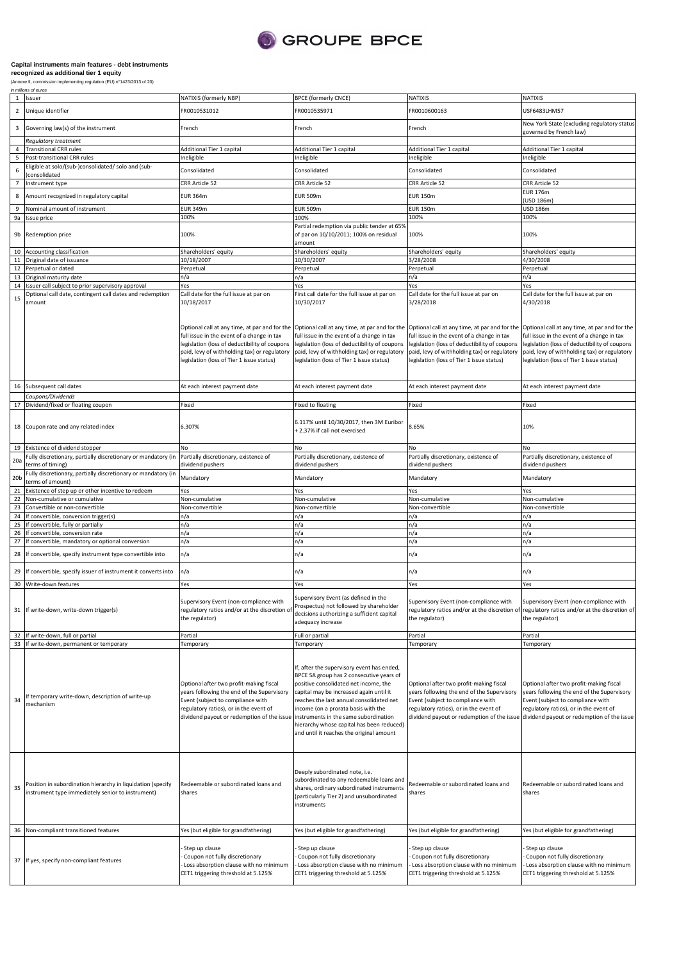

## **Capital instruments main features - debt instruments recognized as additional tier 1 equity**

(Annexe II, commission implementing regulation (EU) n°1423/2013 of 20) in millions of euros

| $\mathbf{1}$    | Issuer                                                                                                           | NATIXIS (formerly NBP)                                                                                                                                                                                                                                   | <b>BPCE (formerly CNCE)</b>                                                                                                                                                                                                                                                                                                                            | NATIXIS                                                                                                                                                                                                            | NATIXIS                                                                                                                                                                                                                                   |
|-----------------|------------------------------------------------------------------------------------------------------------------|----------------------------------------------------------------------------------------------------------------------------------------------------------------------------------------------------------------------------------------------------------|--------------------------------------------------------------------------------------------------------------------------------------------------------------------------------------------------------------------------------------------------------------------------------------------------------------------------------------------------------|--------------------------------------------------------------------------------------------------------------------------------------------------------------------------------------------------------------------|-------------------------------------------------------------------------------------------------------------------------------------------------------------------------------------------------------------------------------------------|
| $\overline{2}$  | Unique identifier                                                                                                | FR0010531012                                                                                                                                                                                                                                             | FR0010535971                                                                                                                                                                                                                                                                                                                                           | FR0010600163                                                                                                                                                                                                       | USF6483LHM57                                                                                                                                                                                                                              |
| 3               | Governing law(s) of the instrument                                                                               | French                                                                                                                                                                                                                                                   | French                                                                                                                                                                                                                                                                                                                                                 | French                                                                                                                                                                                                             | New York State (excluding regulatory status<br>governed by French law)                                                                                                                                                                    |
| $\overline{4}$  | Regulatory treatment                                                                                             |                                                                                                                                                                                                                                                          |                                                                                                                                                                                                                                                                                                                                                        |                                                                                                                                                                                                                    |                                                                                                                                                                                                                                           |
| 5               | <b>Transitional CRR rules</b><br>Post-transitional CRR rules                                                     | Additional Tier 1 capital<br>neligible                                                                                                                                                                                                                   | Additional Tier 1 capital<br>Ineligible                                                                                                                                                                                                                                                                                                                | Additional Tier 1 capital<br>Ineligible                                                                                                                                                                            | Additional Tier 1 capital<br>Ineligible                                                                                                                                                                                                   |
|                 | Eligible at solo/(sub-)consolidated/ solo and (sub-                                                              | Consolidated                                                                                                                                                                                                                                             |                                                                                                                                                                                                                                                                                                                                                        |                                                                                                                                                                                                                    |                                                                                                                                                                                                                                           |
| 6               | consolidated                                                                                                     |                                                                                                                                                                                                                                                          | Consolidated                                                                                                                                                                                                                                                                                                                                           | Consolidated                                                                                                                                                                                                       | Consolidated                                                                                                                                                                                                                              |
| $\overline{7}$  | Instrument type                                                                                                  | CRR Article 52                                                                                                                                                                                                                                           | CRR Article 52                                                                                                                                                                                                                                                                                                                                         | CRR Article 52                                                                                                                                                                                                     | CRR Article 52                                                                                                                                                                                                                            |
| 8               | Amount recognized in regulatory capital                                                                          | EUR 364m                                                                                                                                                                                                                                                 | <b>EUR 509m</b>                                                                                                                                                                                                                                                                                                                                        | <b>EUR 150m</b>                                                                                                                                                                                                    | <b>EUR 176m</b><br>USD 186m)                                                                                                                                                                                                              |
|                 | Nominal amount of instrument                                                                                     | <b>EUR 349m</b>                                                                                                                                                                                                                                          | EUR 509m                                                                                                                                                                                                                                                                                                                                               | <b>EUR 150m</b>                                                                                                                                                                                                    | USD 186m                                                                                                                                                                                                                                  |
| 9a              | Issue price                                                                                                      | 100%                                                                                                                                                                                                                                                     | 100%                                                                                                                                                                                                                                                                                                                                                   | 100%                                                                                                                                                                                                               | 100%                                                                                                                                                                                                                                      |
| 9b              | Redemption price                                                                                                 | 100%                                                                                                                                                                                                                                                     | Partial redemption via public tender at 65%<br>of par on 10/10/2011; 100% on residual<br>amount                                                                                                                                                                                                                                                        | 100%                                                                                                                                                                                                               | 100%                                                                                                                                                                                                                                      |
| 10              | Accounting classification                                                                                        | Shareholders' equity                                                                                                                                                                                                                                     | Shareholders' equity                                                                                                                                                                                                                                                                                                                                   | Shareholders' equity                                                                                                                                                                                               | Shareholders' equity                                                                                                                                                                                                                      |
| 11              | Original date of issuance                                                                                        | 10/18/2007                                                                                                                                                                                                                                               | 10/30/2007                                                                                                                                                                                                                                                                                                                                             | 3/28/2008                                                                                                                                                                                                          | 4/30/2008                                                                                                                                                                                                                                 |
| 12<br>13        | Perpetual or dated<br>Original maturity date                                                                     | Perpetual<br>n/a                                                                                                                                                                                                                                         | Perpetual<br>n/a                                                                                                                                                                                                                                                                                                                                       | Perpetual<br>n/a                                                                                                                                                                                                   | Perpetual<br>n/a                                                                                                                                                                                                                          |
| 14              | Issuer call subject to prior supervisory approval                                                                | Yes                                                                                                                                                                                                                                                      | Yes                                                                                                                                                                                                                                                                                                                                                    | Yes                                                                                                                                                                                                                | Yes                                                                                                                                                                                                                                       |
| 15              | Optional call date, contingent call dates and redemption<br>amount                                               | Call date for the full issue at par on<br>10/18/2017                                                                                                                                                                                                     | First call date for the full issue at par on<br>10/30/2017                                                                                                                                                                                                                                                                                             | Call date for the full issue at par on<br>3/28/2018                                                                                                                                                                | Call date for the full issue at par on<br>4/30/2018                                                                                                                                                                                       |
|                 |                                                                                                                  | full issue in the event of a change in tax<br>egislation (loss of deductibility of coupons<br>paid, levy of withholding tax) or regulatory<br>legislation (loss of Tier 1 issue status)                                                                  | Optional call at any time, at par and for the Optional call at any time, at par and for the Optional call at any time, at par and for the<br>full issue in the event of a change in tax<br>legislation (loss of deductibility of coupons<br>paid, levy of withholding tax) or regulatory<br>legislation (loss of Tier 1 issue status)                  | full issue in the event of a change in tax<br>legislation (loss of deductibility of coupons<br>paid, levy of withholding tax) or regulatory<br>egislation (loss of Tier 1 issue status)                            | Optional call at any time, at par and for the<br>full issue in the event of a change in tax<br>legislation (loss of deductibility of coupons<br>paid, levy of withholding tax) or regulatory<br>legislation (loss of Tier 1 issue status) |
| 16              | Subsequent call dates                                                                                            | At each interest payment date                                                                                                                                                                                                                            | At each interest payment date                                                                                                                                                                                                                                                                                                                          | At each interest payment date                                                                                                                                                                                      | At each interest payment date                                                                                                                                                                                                             |
|                 | Coupons/Dividends                                                                                                |                                                                                                                                                                                                                                                          |                                                                                                                                                                                                                                                                                                                                                        |                                                                                                                                                                                                                    |                                                                                                                                                                                                                                           |
| 17              | Dividend/fixed or floating coupon                                                                                | Fixed                                                                                                                                                                                                                                                    | Fixed to floating                                                                                                                                                                                                                                                                                                                                      | Fixed                                                                                                                                                                                                              | Fixed                                                                                                                                                                                                                                     |
| 18              | Coupon rate and any related index                                                                                | 6.307%                                                                                                                                                                                                                                                   | 6.117% until 10/30/2017, then 3M Euribor<br>+ 2.37% if call not exercised                                                                                                                                                                                                                                                                              | 8.65%                                                                                                                                                                                                              | 10%                                                                                                                                                                                                                                       |
| 19              | Existence of dividend stopper                                                                                    | No                                                                                                                                                                                                                                                       | No                                                                                                                                                                                                                                                                                                                                                     | No                                                                                                                                                                                                                 |                                                                                                                                                                                                                                           |
| 20a             | Fully discretionary, partially discretionary or mandatory (in                                                    | Partially discretionary, existence of<br>dividend pushers                                                                                                                                                                                                | Partially discretionary, existence of<br>dividend pushers                                                                                                                                                                                                                                                                                              | Partially discretionary, existence of<br>dividend pushers                                                                                                                                                          | Partially discretionary, existence of<br>dividend pushers                                                                                                                                                                                 |
|                 | terms of timing)<br>Fully discretionary, partially discretionary or mandatory (in                                |                                                                                                                                                                                                                                                          |                                                                                                                                                                                                                                                                                                                                                        |                                                                                                                                                                                                                    |                                                                                                                                                                                                                                           |
| 20 <sub>b</sub> | terms of amount)                                                                                                 | Mandatory                                                                                                                                                                                                                                                | Mandatory                                                                                                                                                                                                                                                                                                                                              | Mandatory                                                                                                                                                                                                          | Mandatory                                                                                                                                                                                                                                 |
| 21              | Existence of step up or other incentive to redeem                                                                | Yes                                                                                                                                                                                                                                                      | Yes                                                                                                                                                                                                                                                                                                                                                    | Yes                                                                                                                                                                                                                | Yes                                                                                                                                                                                                                                       |
|                 |                                                                                                                  |                                                                                                                                                                                                                                                          |                                                                                                                                                                                                                                                                                                                                                        |                                                                                                                                                                                                                    |                                                                                                                                                                                                                                           |
| 22              | Non-cumulative or cumulative                                                                                     | Non-cumulative                                                                                                                                                                                                                                           | Non-cumulative                                                                                                                                                                                                                                                                                                                                         | Non-cumulative                                                                                                                                                                                                     | Non-cumulative                                                                                                                                                                                                                            |
| 23              | Convertible or non-convertible                                                                                   | Non-convertible                                                                                                                                                                                                                                          | Non-convertible                                                                                                                                                                                                                                                                                                                                        | Non-convertible                                                                                                                                                                                                    | Non-convertible                                                                                                                                                                                                                           |
| 24<br>25        | f convertible, conversion trigger(s)<br>f convertible, fully or partially                                        | n/a<br>n/a                                                                                                                                                                                                                                               | n/a<br>n/a                                                                                                                                                                                                                                                                                                                                             | n/a<br>n/a                                                                                                                                                                                                         | n/a<br>n/a                                                                                                                                                                                                                                |
| 26              | f convertible, conversion rate                                                                                   | n/a                                                                                                                                                                                                                                                      | n/a                                                                                                                                                                                                                                                                                                                                                    | n/a                                                                                                                                                                                                                | n/a                                                                                                                                                                                                                                       |
| 27              | f convertible, mandatory or optional conversion                                                                  | n/a                                                                                                                                                                                                                                                      | n/a                                                                                                                                                                                                                                                                                                                                                    | n/a                                                                                                                                                                                                                | n/a                                                                                                                                                                                                                                       |
| 28              | If convertible, specify instrument type convertible into                                                         | n/a                                                                                                                                                                                                                                                      | n/a                                                                                                                                                                                                                                                                                                                                                    | n/a                                                                                                                                                                                                                | n/a                                                                                                                                                                                                                                       |
| 29              | If convertible, specify issuer of instrument it converts into                                                    | n/a                                                                                                                                                                                                                                                      | n/a                                                                                                                                                                                                                                                                                                                                                    | n/a                                                                                                                                                                                                                | n/a                                                                                                                                                                                                                                       |
| 30              | Write-down features                                                                                              | Yes                                                                                                                                                                                                                                                      | Yes                                                                                                                                                                                                                                                                                                                                                    | Yes                                                                                                                                                                                                                | Yes                                                                                                                                                                                                                                       |
|                 | 31 If write-down, write-down trigger(s)                                                                          | Supervisory Event (non-compliance with<br>regulatory ratios and/or at the discretion of<br>the regulator)                                                                                                                                                | Supervisory Event (as defined in the<br>Prospectus) not followed by shareholder<br>decisions authorizing a sufficient capital<br>adequacy increase                                                                                                                                                                                                     | Supervisory Event (non-compliance with<br>the regulator)                                                                                                                                                           | Supervisory Event (non-compliance with<br>regulatory ratios and/or at the discretion of regulatory ratios and/or at the discretion of<br>the regulator)                                                                                   |
|                 | 32 If write-down, full or partial                                                                                | Partial                                                                                                                                                                                                                                                  | Full or partial                                                                                                                                                                                                                                                                                                                                        | Partial                                                                                                                                                                                                            | Partial                                                                                                                                                                                                                                   |
|                 | 33 If write-down, permanent or temporary                                                                         | Temporary                                                                                                                                                                                                                                                | Temporary                                                                                                                                                                                                                                                                                                                                              | Temporary                                                                                                                                                                                                          | Temporary                                                                                                                                                                                                                                 |
| 34              | If temporary write-down, description of write-up<br>mechanism                                                    | Optional after two profit-making fiscal<br>years following the end of the Supervisory<br>Event (subject to compliance with<br>regulatory ratios), or in the event of<br>dividend payout or redemption of the issue instruments in the same subordination | If, after the supervisory event has ended,<br>BPCE SA group has 2 consecutive years of<br>positive consolidated net income, the<br>capital may be increased again until it<br>reaches the last annual consolidated net<br>income (on a prorata basis with the<br>hierarchy whose capital has been reduced)<br>and until it reaches the original amount | Optional after two profit-making fiscal<br>years following the end of the Supervisory<br>Event (subject to compliance with<br>regulatory ratios), or in the event of<br>dividend payout or redemption of the issue | Optional after two profit-making fiscal<br>years following the end of the Supervisory<br>Event (subject to compliance with<br>regulatory ratios), or in the event of                                                                      |
| 35              | Position in subordination hierarchy in liquidation (specify<br>instrument type immediately senior to instrument) | Redeemable or subordinated loans and<br>shares                                                                                                                                                                                                           | Deeply subordinated note, i.e.<br>subordinated to any redeemable loans and<br>shares, ordinary subordinated instruments<br>(particularly Tier 2) and unsubordinated<br>instruments                                                                                                                                                                     | Redeemable or subordinated loans and<br>shares                                                                                                                                                                     | dividend payout or redemption of the issue<br>Redeemable or subordinated loans and<br>shares                                                                                                                                              |
|                 | 36 Non-compliant transitioned features                                                                           | Yes (but eligible for grandfathering)                                                                                                                                                                                                                    | Yes (but eligible for grandfathering)                                                                                                                                                                                                                                                                                                                  | Yes (but eligible for grandfathering)                                                                                                                                                                              | Yes (but eligible for grandfathering)                                                                                                                                                                                                     |
|                 | 37 If yes, specify non-compliant features                                                                        | Step up clause<br>Coupon not fully discretionary<br>Loss absorption clause with no minimum<br>CET1 triggering threshold at 5.125%                                                                                                                        | Step up clause<br>Coupon not fully discretionary<br>Loss absorption clause with no minimum<br>CET1 triggering threshold at 5.125%                                                                                                                                                                                                                      | Step up clause<br>Coupon not fully discretionary<br>Loss absorption clause with no minimum<br>CET1 triggering threshold at 5.125%                                                                                  | Step up clause<br>Coupon not fully discretionary<br>Loss absorption clause with no minimum<br>CET1 triggering threshold at 5.125%                                                                                                         |